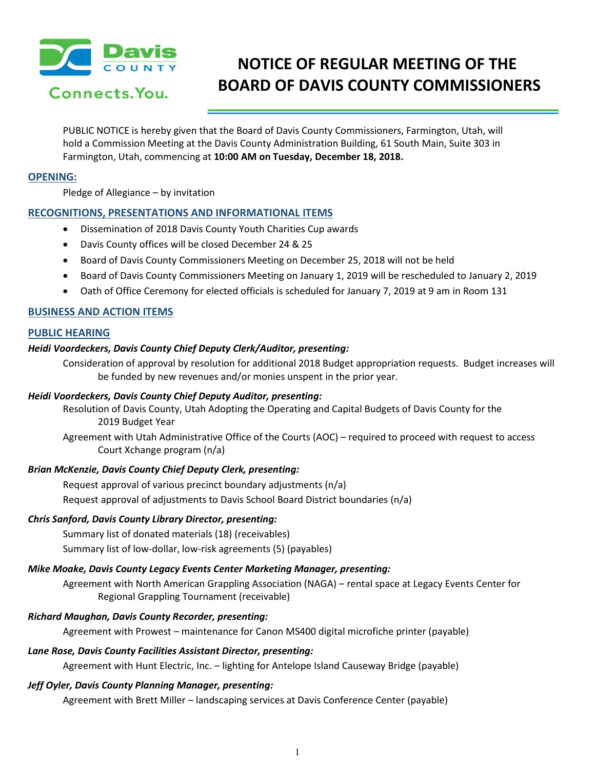

# **NOTICE OF REGULAR MEETING OF THE BOARD OF DAVIS COUNTY COMMISSIONERS**

PUBLIC NOTICE is hereby given that the Board of Davis County Commissioners, Farmington, Utah, will hold a Commission Meeting at the Davis County Administration Building, 61 South Main, Suite 303 in Farmington, Utah, commencing at **10:00 AM on Tuesday, December 18, 2018.**

# **OPENING:**

Pledge of Allegiance – by invitation

# **RECOGNITIONS, PRESENTATIONS AND INFORMATIONAL ITEMS**

- Dissemination of 2018 Davis County Youth Charities Cup awards
- Davis County offices will be closed December 24 & 25
- Board of Davis County Commissioners Meeting on December 25, 2018 will not be held
- Board of Davis County Commissioners Meeting on January 1, 2019 will be rescheduled to January 2, 2019
- Oath of Office Ceremony for elected officials is scheduled for January 7, 2019 at 9 am in Room 131

# **BUSINESS AND ACTION ITEMS**

## **PUBLIC HEARING**

## *Heidi Voordeckers, Davis County Chief Deputy Clerk/Auditor, presenting:*

Consideration of approval by resolution for additional 2018 Budget appropriation requests. Budget increases will be funded by new revenues and/or monies unspent in the prior year.

#### *Heidi Voordeckers, Davis County Chief Deputy Auditor, presenting:*

Resolution of Davis County, Utah Adopting the Operating and Capital Budgets of Davis County for the 2019 Budget Year

Agreement with Utah Administrative Office of the Courts (AOC) – required to proceed with request to access Court Xchange program (n/a)

### *Brian McKenzie, Davis County Chief Deputy Clerk, presenting:*

Request approval of various precinct boundary adjustments (n/a) Request approval of adjustments to Davis School Board District boundaries (n/a)

#### *Chris Sanford, Davis County Library Director, presenting:*

Summary list of donated materials (18) (receivables)

Summary list of low-dollar, low-risk agreements (5) (payables)

#### *Mike Moake, Davis County Legacy Events Center Marketing Manager, presenting:*

Agreement with North American Grappling Association (NAGA) – rental space at Legacy Events Center for Regional Grappling Tournament (receivable)

#### *Richard Maughan, Davis County Recorder, presenting:*

Agreement with Prowest – maintenance for Canon MS400 digital microfiche printer (payable)

#### *Lane Rose, Davis County Facilities Assistant Director, presenting:*

Agreement with Hunt Electric, Inc. – lighting for Antelope Island Causeway Bridge (payable)

# *Jeff Oyler, Davis County Planning Manager, presenting:*

Agreement with Brett Miller – landscaping services at Davis Conference Center (payable)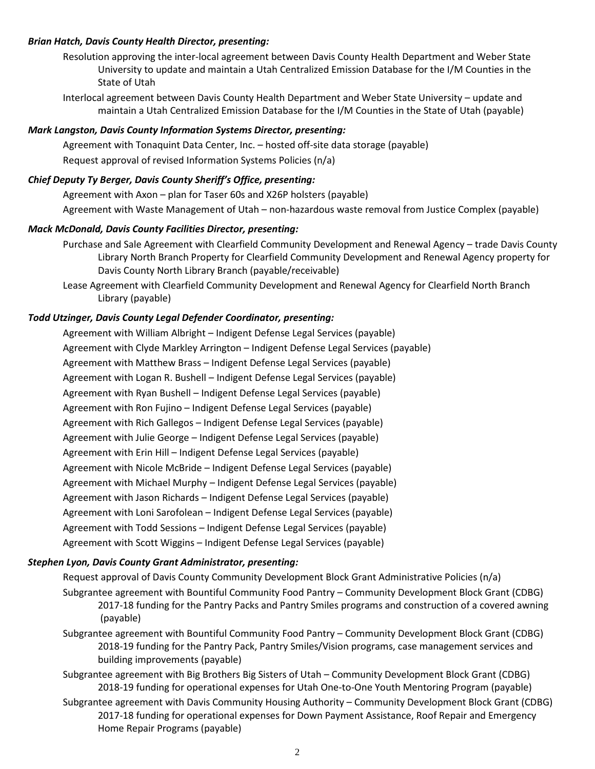## *Brian Hatch, Davis County Health Director, presenting:*

Resolution approving the inter-local agreement between Davis County Health Department and Weber State University to update and maintain a Utah Centralized Emission Database for the I/M Counties in the State of Utah

Interlocal agreement between Davis County Health Department and Weber State University – update and maintain a Utah Centralized Emission Database for the I/M Counties in the State of Utah (payable)

## *Mark Langston, Davis County Information Systems Director, presenting:*

Agreement with Tonaquint Data Center, Inc. – hosted off-site data storage (payable) Request approval of revised Information Systems Policies (n/a)

# *Chief Deputy Ty Berger, Davis County Sheriff's Office, presenting:*

Agreement with Axon – plan for Taser 60s and X26P holsters (payable)

Agreement with Waste Management of Utah – non-hazardous waste removal from Justice Complex (payable)

## *Mack McDonald, Davis County Facilities Director, presenting:*

Purchase and Sale Agreement with Clearfield Community Development and Renewal Agency – trade Davis County Library North Branch Property for Clearfield Community Development and Renewal Agency property for Davis County North Library Branch (payable/receivable)

Lease Agreement with Clearfield Community Development and Renewal Agency for Clearfield North Branch Library (payable)

# *Todd Utzinger, Davis County Legal Defender Coordinator, presenting:*

Agreement with William Albright – Indigent Defense Legal Services (payable) Agreement with Clyde Markley Arrington – Indigent Defense Legal Services (payable) Agreement with Matthew Brass – Indigent Defense Legal Services (payable) Agreement with Logan R. Bushell – Indigent Defense Legal Services (payable) Agreement with Ryan Bushell – Indigent Defense Legal Services (payable) Agreement with Ron Fujino – Indigent Defense Legal Services (payable) Agreement with Rich Gallegos – Indigent Defense Legal Services (payable) Agreement with Julie George – Indigent Defense Legal Services (payable) Agreement with Erin Hill – Indigent Defense Legal Services (payable) Agreement with Nicole McBride – Indigent Defense Legal Services (payable) Agreement with Michael Murphy – Indigent Defense Legal Services (payable) Agreement with Jason Richards – Indigent Defense Legal Services (payable) Agreement with Loni Sarofolean – Indigent Defense Legal Services (payable) Agreement with Todd Sessions – Indigent Defense Legal Services (payable) Agreement with Scott Wiggins – Indigent Defense Legal Services (payable)

### *Stephen Lyon, Davis County Grant Administrator, presenting:*

Request approval of Davis County Community Development Block Grant Administrative Policies (n/a) Subgrantee agreement with Bountiful Community Food Pantry – Community Development Block Grant (CDBG) 2017-18 funding for the Pantry Packs and Pantry Smiles programs and construction of a covered awning (payable)

Subgrantee agreement with Bountiful Community Food Pantry – Community Development Block Grant (CDBG) 2018-19 funding for the Pantry Pack, Pantry Smiles/Vision programs, case management services and building improvements (payable)

Subgrantee agreement with Big Brothers Big Sisters of Utah – Community Development Block Grant (CDBG) 2018-19 funding for operational expenses for Utah One-to-One Youth Mentoring Program (payable)

Subgrantee agreement with Davis Community Housing Authority – Community Development Block Grant (CDBG) 2017-18 funding for operational expenses for Down Payment Assistance, Roof Repair and Emergency Home Repair Programs (payable)